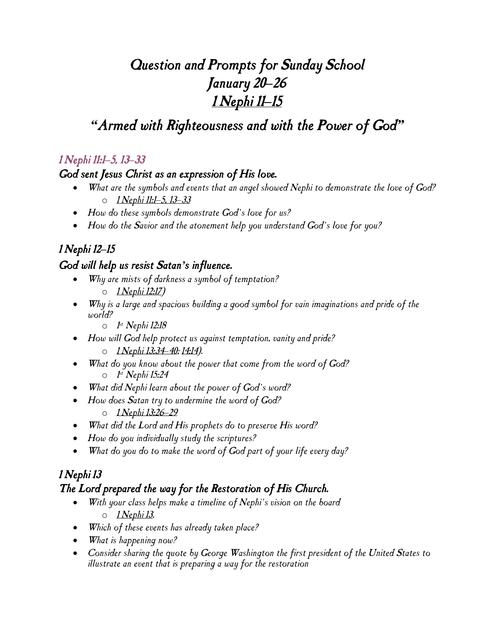# *Question and Prompts for Sunday School January 20–26 1 Nephi 11–15*

# *"Armed with Righteousness and with the Power of God"*

## *1 Nephi 11:1–5, 13–33*

#### *God sent Jesus Christ as an expression of His love.*

- *What are the symbols and events that an angel showed Nephi to demonstrate the love of God?* o *1 Nephi 11:1–5, 13–33*
- *How do these symbols demonstrate God's love for us?*
- *How do the Savior and the atonement help you understand God's love for you?*

## *1 Nephi 12–15*

### *God will help us resist Satan's influence.*

- *Why are mists of darkness a symbol of temptation?* o *1 Nephi 12:17)*
- *Why is a large and spacious building a good symbol for vain imaginations and pride of the world?*
	- o *1 st Nephi 12:18*
- *How will God help protect us against temptation, vanity and pride?*
	- o *1 Nephi 13:34–40; 14:14).*
- *What do you know about the power that come from the word of God?* o *1 st Nephi 15:24*
- *What did Nephi learn about the power of God's word?*
- *How does Satan try to undermine the word of God?* o *1 Nephi 13:26–29*
- *What did the Lord and His prophets do to preserve His word?*
- *How do you individually study the scriptures?*
- *What do you do to make the word of God part of your life every day?*

### *1 Nephi 13 The Lord prepared the way for the Restoration of His Church.*

- *With your class helps make a timeline of Nephi's vision on the board* o *1 Nephi 13.*
- *Which of these events has already taken place?*
- *What is happening now?*
- *Consider sharing the quote by George Washington the first president of the United States to illustrate an event that is preparing a way for the restoration*